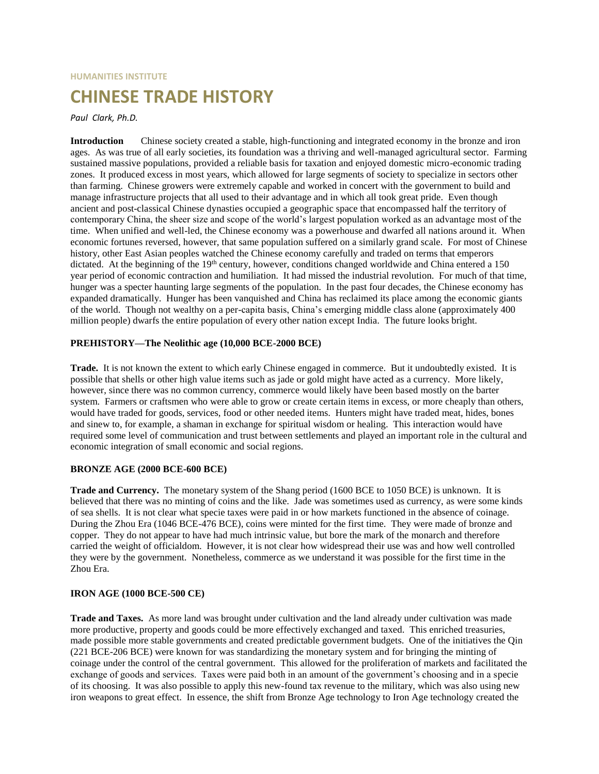# **HUMANITIES INSTITUTE CHINESE TRADE HISTORY**

## *Paul Clark, Ph.D.*

**Introduction** Chinese society created a stable, high-functioning and integrated economy in the bronze and iron ages. As was true of all early societies, its foundation was a thriving and well-managed agricultural sector. Farming sustained massive populations, provided a reliable basis for taxation and enjoyed domestic micro-economic trading zones. It produced excess in most years, which allowed for large segments of society to specialize in sectors other than farming. Chinese growers were extremely capable and worked in concert with the government to build and manage infrastructure projects that all used to their advantage and in which all took great pride. Even though ancient and post-classical Chinese dynasties occupied a geographic space that encompassed half the territory of contemporary China, the sheer size and scope of the world's largest population worked as an advantage most of the time. When unified and well-led, the Chinese economy was a powerhouse and dwarfed all nations around it. When economic fortunes reversed, however, that same population suffered on a similarly grand scale. For most of Chinese history, other East Asian peoples watched the Chinese economy carefully and traded on terms that emperors dictated. At the beginning of the 19<sup>th</sup> century, however, conditions changed worldwide and China entered a 150 year period of economic contraction and humiliation. It had missed the industrial revolution. For much of that time, hunger was a specter haunting large segments of the population. In the past four decades, the Chinese economy has expanded dramatically. Hunger has been vanquished and China has reclaimed its place among the economic giants of the world. Though not wealthy on a per-capita basis, China's emerging middle class alone (approximately 400 million people) dwarfs the entire population of every other nation except India. The future looks bright.

## **PREHISTORY—The Neolithic age (10,000 BCE-2000 BCE)**

**Trade.** It is not known the extent to which early Chinese engaged in commerce. But it undoubtedly existed. It is possible that shells or other high value items such as jade or gold might have acted as a currency. More likely, however, since there was no common currency, commerce would likely have been based mostly on the barter system. Farmers or craftsmen who were able to grow or create certain items in excess, or more cheaply than others, would have traded for goods, services, food or other needed items. Hunters might have traded meat, hides, bones and sinew to, for example, a shaman in exchange for spiritual wisdom or healing. This interaction would have required some level of communication and trust between settlements and played an important role in the cultural and economic integration of small economic and social regions.

#### **BRONZE AGE (2000 BCE-600 BCE)**

**Trade and Currency.** The monetary system of the Shang period (1600 BCE to 1050 BCE) is unknown. It is believed that there was no minting of coins and the like. Jade was sometimes used as currency, as were some kinds of sea shells. It is not clear what specie taxes were paid in or how markets functioned in the absence of coinage. During the Zhou Era (1046 BCE-476 BCE), coins were minted for the first time. They were made of bronze and copper. They do not appear to have had much intrinsic value, but bore the mark of the monarch and therefore carried the weight of officialdom. However, it is not clear how widespread their use was and how well controlled they were by the government. Nonetheless, commerce as we understand it was possible for the first time in the Zhou Era.

# **IRON AGE (1000 BCE-500 CE)**

**Trade and Taxes.** As more land was brought under cultivation and the land already under cultivation was made more productive, property and goods could be more effectively exchanged and taxed. This enriched treasuries, made possible more stable governments and created predictable government budgets. One of the initiatives the Qin (221 BCE-206 BCE) were known for was standardizing the monetary system and for bringing the minting of coinage under the control of the central government. This allowed for the proliferation of markets and facilitated the exchange of goods and services. Taxes were paid both in an amount of the government's choosing and in a specie of its choosing. It was also possible to apply this new-found tax revenue to the military, which was also using new iron weapons to great effect. In essence, the shift from Bronze Age technology to Iron Age technology created the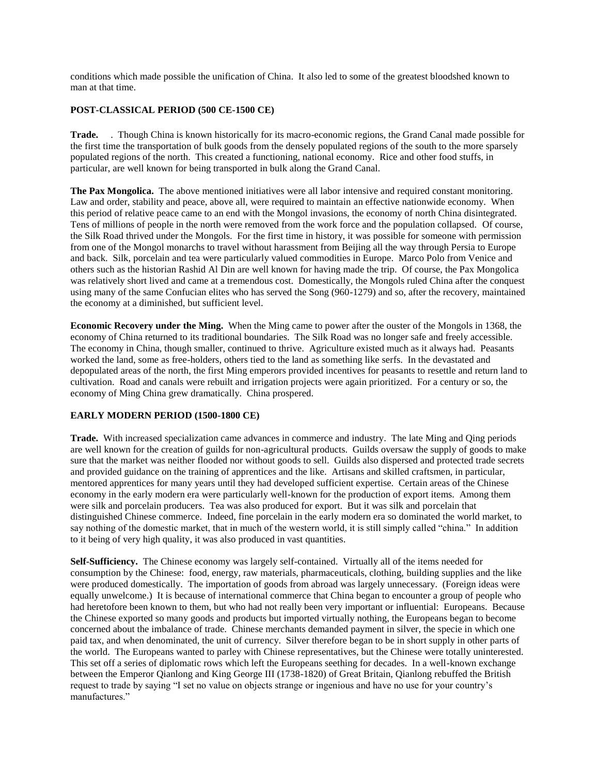conditions which made possible the unification of China. It also led to some of the greatest bloodshed known to man at that time.

## **POST-CLASSICAL PERIOD (500 CE-1500 CE)**

**Trade.** . Though China is known historically for its macro-economic regions, the Grand Canal made possible for the first time the transportation of bulk goods from the densely populated regions of the south to the more sparsely populated regions of the north. This created a functioning, national economy. Rice and other food stuffs, in particular, are well known for being transported in bulk along the Grand Canal.

**The Pax Mongolica.** The above mentioned initiatives were all labor intensive and required constant monitoring. Law and order, stability and peace, above all, were required to maintain an effective nationwide economy. When this period of relative peace came to an end with the Mongol invasions, the economy of north China disintegrated. Tens of millions of people in the north were removed from the work force and the population collapsed. Of course, the Silk Road thrived under the Mongols. For the first time in history, it was possible for someone with permission from one of the Mongol monarchs to travel without harassment from Beijing all the way through Persia to Europe and back. Silk, porcelain and tea were particularly valued commodities in Europe. Marco Polo from Venice and others such as the historian Rashid Al Din are well known for having made the trip. Of course, the Pax Mongolica was relatively short lived and came at a tremendous cost. Domestically, the Mongols ruled China after the conquest using many of the same Confucian elites who has served the Song (960-1279) and so, after the recovery, maintained the economy at a diminished, but sufficient level.

**Economic Recovery under the Ming.** When the Ming came to power after the ouster of the Mongols in 1368, the economy of China returned to its traditional boundaries. The Silk Road was no longer safe and freely accessible. The economy in China, though smaller, continued to thrive. Agriculture existed much as it always had. Peasants worked the land, some as free-holders, others tied to the land as something like serfs. In the devastated and depopulated areas of the north, the first Ming emperors provided incentives for peasants to resettle and return land to cultivation. Road and canals were rebuilt and irrigation projects were again prioritized. For a century or so, the economy of Ming China grew dramatically. China prospered.

# **EARLY MODERN PERIOD (1500-1800 CE)**

**Trade.** With increased specialization came advances in commerce and industry. The late Ming and Qing periods are well known for the creation of guilds for non-agricultural products. Guilds oversaw the supply of goods to make sure that the market was neither flooded nor without goods to sell. Guilds also dispersed and protected trade secrets and provided guidance on the training of apprentices and the like. Artisans and skilled craftsmen, in particular, mentored apprentices for many years until they had developed sufficient expertise. Certain areas of the Chinese economy in the early modern era were particularly well-known for the production of export items. Among them were silk and porcelain producers. Tea was also produced for export. But it was silk and porcelain that distinguished Chinese commerce. Indeed, fine porcelain in the early modern era so dominated the world market, to say nothing of the domestic market, that in much of the western world, it is still simply called "china." In addition to it being of very high quality, it was also produced in vast quantities.

**Self-Sufficiency.** The Chinese economy was largely self-contained. Virtually all of the items needed for consumption by the Chinese: food, energy, raw materials, pharmaceuticals, clothing, building supplies and the like were produced domestically. The importation of goods from abroad was largely unnecessary. (Foreign ideas were equally unwelcome.) It is because of international commerce that China began to encounter a group of people who had heretofore been known to them, but who had not really been very important or influential: Europeans. Because the Chinese exported so many goods and products but imported virtually nothing, the Europeans began to become concerned about the imbalance of trade. Chinese merchants demanded payment in silver, the specie in which one paid tax, and when denominated, the unit of currency. Silver therefore began to be in short supply in other parts of the world. The Europeans wanted to parley with Chinese representatives, but the Chinese were totally uninterested. This set off a series of diplomatic rows which left the Europeans seething for decades. In a well-known exchange between the Emperor Qianlong and King George III (1738-1820) of Great Britain, Qianlong rebuffed the British request to trade by saying "I set no value on objects strange or ingenious and have no use for your country's manufactures."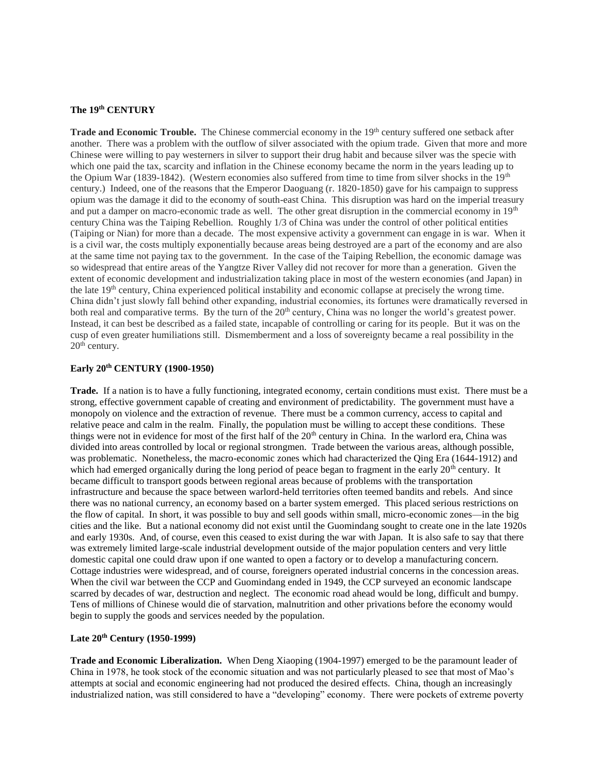#### **The 19th CENTURY**

**Trade and Economic Trouble.** The Chinese commercial economy in the 19<sup>th</sup> century suffered one setback after another. There was a problem with the outflow of silver associated with the opium trade. Given that more and more Chinese were willing to pay westerners in silver to support their drug habit and because silver was the specie with which one paid the tax, scarcity and inflation in the Chinese economy became the norm in the years leading up to the Opium War (1839-1842). (Western economies also suffered from time to time from silver shocks in the 19<sup>th</sup> century.) Indeed, one of the reasons that the Emperor Daoguang (r. 1820-1850) gave for his campaign to suppress opium was the damage it did to the economy of south-east China. This disruption was hard on the imperial treasury and put a damper on macro-economic trade as well. The other great disruption in the commercial economy in 19<sup>th</sup> century China was the Taiping Rebellion. Roughly 1/3 of China was under the control of other political entities (Taiping or Nian) for more than a decade. The most expensive activity a government can engage in is war. When it is a civil war, the costs multiply exponentially because areas being destroyed are a part of the economy and are also at the same time not paying tax to the government. In the case of the Taiping Rebellion, the economic damage was so widespread that entire areas of the Yangtze River Valley did not recover for more than a generation. Given the extent of economic development and industrialization taking place in most of the western economies (and Japan) in the late 19th century, China experienced political instability and economic collapse at precisely the wrong time. China didn't just slowly fall behind other expanding, industrial economies, its fortunes were dramatically reversed in both real and comparative terms. By the turn of the 20<sup>th</sup> century, China was no longer the world's greatest power. Instead, it can best be described as a failed state, incapable of controlling or caring for its people. But it was on the cusp of even greater humiliations still. Dismemberment and a loss of sovereignty became a real possibility in the 20<sup>th</sup> century.

# **Early 20th CENTURY (1900-1950)**

**Trade.** If a nation is to have a fully functioning, integrated economy, certain conditions must exist. There must be a strong, effective government capable of creating and environment of predictability. The government must have a monopoly on violence and the extraction of revenue. There must be a common currency, access to capital and relative peace and calm in the realm. Finally, the population must be willing to accept these conditions. These things were not in evidence for most of the first half of the 20<sup>th</sup> century in China. In the warlord era, China was divided into areas controlled by local or regional strongmen. Trade between the various areas, although possible, was problematic. Nonetheless, the macro-economic zones which had characterized the Qing Era (1644-1912) and which had emerged organically during the long period of peace began to fragment in the early  $20<sup>th</sup>$  century. It became difficult to transport goods between regional areas because of problems with the transportation infrastructure and because the space between warlord-held territories often teemed bandits and rebels. And since there was no national currency, an economy based on a barter system emerged. This placed serious restrictions on the flow of capital. In short, it was possible to buy and sell goods within small, micro-economic zones—in the big cities and the like. But a national economy did not exist until the Guomindang sought to create one in the late 1920s and early 1930s. And, of course, even this ceased to exist during the war with Japan. It is also safe to say that there was extremely limited large-scale industrial development outside of the major population centers and very little domestic capital one could draw upon if one wanted to open a factory or to develop a manufacturing concern. Cottage industries were widespread, and of course, foreigners operated industrial concerns in the concession areas. When the civil war between the CCP and Guomindang ended in 1949, the CCP surveyed an economic landscape scarred by decades of war, destruction and neglect. The economic road ahead would be long, difficult and bumpy. Tens of millions of Chinese would die of starvation, malnutrition and other privations before the economy would begin to supply the goods and services needed by the population.

### **Late 20th Century (1950-1999)**

**Trade and Economic Liberalization.** When Deng Xiaoping (1904-1997) emerged to be the paramount leader of China in 1978, he took stock of the economic situation and was not particularly pleased to see that most of Mao's attempts at social and economic engineering had not produced the desired effects. China, though an increasingly industrialized nation, was still considered to have a "developing" economy. There were pockets of extreme poverty